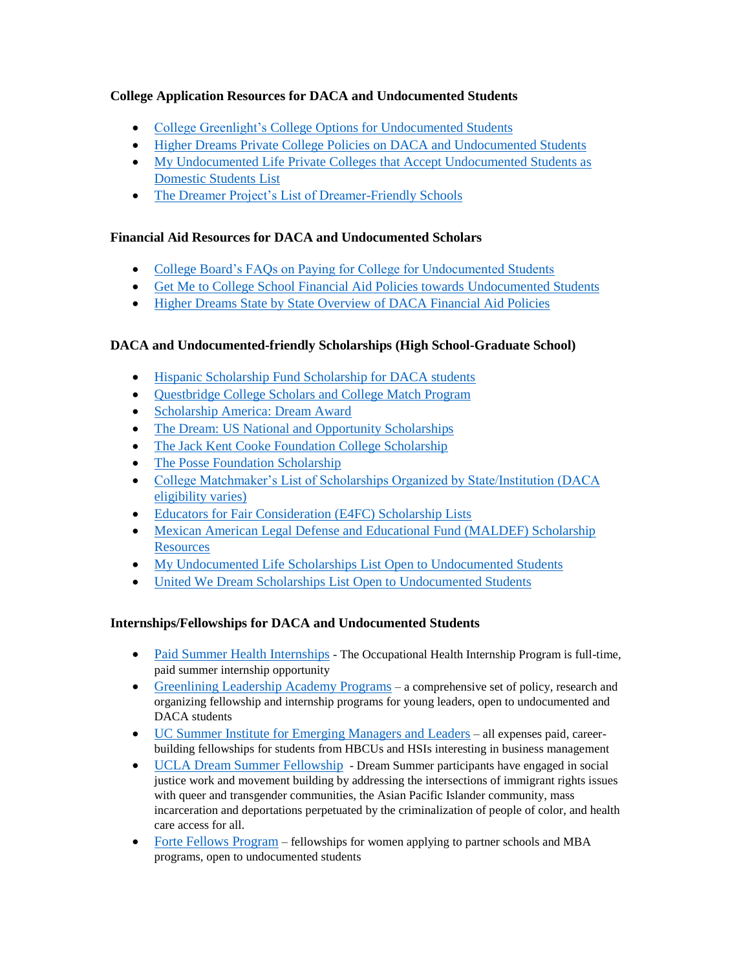# **College Application Resources for DACA and Undocumented Students**

- College Greenlight's [College Options for Undocumented Students](http://blog.collegegreenlight.com/blog/category/diversity/undocumented-students-diversity/#sthash.cnOViLPS.dpbs)
- [Higher Dreams Private College Policies on DACA and Undocumented Students](http://higherdreams.org/private-colleges/)
- [My Undocumented Life Private Colleges that Accept Undocumented Students as](https://mydocumentedlife.org/2015/11/16/private-colleges-that-accept-undocumented-students-as-domestic-students/)  [Domestic Students List](https://mydocumentedlife.org/2015/11/16/private-colleges-that-accept-undocumented-students-as-domestic-students/)
- [The Dreamer Project's List of Dreamer-Friendly Schools](http://www.dreamproject-va.org/educator-resources/section-iv-dreamer-friendly-schools/)

## **Financial Aid Resources for DACA and Undocumented Scholars**

- [College Board's FAQs on Paying for College for Undocumented Students](https://bigfuture.collegeboard.org/get-started/for-undocumented-students/questions-and-answers-about-paying-for-college)
- [Get Me to College School Financial Aid Policies towards Undocumented Students](http://getmetocollege.org/financial-aid/info-for-undocumented-students/school-policies-towards-undocumented-students)
- [Higher Dreams State by State Overview of DACA Financial Aid Policies](http://higherdreams.org/financial-aid/)

# **DACA and Undocumented-friendly Scholarships (High School-Graduate School)**

- Hispanic Scholarship Fund [Scholarship for DACA students](https://www.hsf.net/scholarship)
- Ouestbridge College Scholars and College Match Program
- [Scholarship America: Dream Award](https://scholarshipamerica.org/dreamaward/)
- [The Dream: US National and Opportunity Scholarships](http://www.thedream.us/scholarships/)
- [The Jack Kent Cooke Foundation College Scholarship](http://www.jkcf.org/scholarship-programs/college-scholarship/)
- [The Posse Foundation Scholarship](https://www.possefoundation.org/)
- [College Matchmaker's List of Scholarships Organized by State/Institution \(DACA](http://thecollegematchmaker.com/111-ridiculously-awesome-full-tuition-schoarships/)  [eligibility varies\)](http://thecollegematchmaker.com/111-ridiculously-awesome-full-tuition-schoarships/)
- [Educators for Fair Consideration \(E4FC\) Scholarship Lists](http://www.e4fc.org/scholarshiplists.html)
- [Mexican American Legal Defense and Educational Fund \(MALDEF\) Scholarship](http://maldef.org/leadership/scholarships/)  **[Resources](http://maldef.org/leadership/scholarships/)**
- My Undocumented Life [Scholarships List Open to Undocumented Students](https://mydocumentedlife.org/scholarships-open-to-undocumented-students/)
- [United We Dream Scholarships List Open to Undocumented Students](http://unitedwedream.org/blog/scholarships-open-undocumented-students/)

# **Internships/Fellowships for DACA and Undocumented Students**

- [Paid Summer Health Internships](https://mydocumentedlife.org/2017/01/11/paid-summer-health-internship-program/) The Occupational Health Internship Program is full-time, paid summer internship opportunity
- [Greenlining Leadership Academy Programs](http://greenlining.org/leadership-academy/programs/) a comprehensive set of policy, research and organizing fellowship and internship programs for young leaders, open to undocumented and DACA students
- [UC Summer Institute for Emerging Managers and Leaders](http://sieml.universityofcalifornia.edu/) all expenses paid, careerbuilding fellowships for students from HBCUs and HSIs interesting in business management
- [UCLA Dream Summer Fellowship](http://www.labor.ucla.edu/what-we-do/dream-resource-center/dream-summer/dsapplicants/) [Dream Summer participants have engaged in social](http://www.labor.ucla.edu/what-we-do/dream-resource-center/dream-summer/dsapplicants/)  [justice work and movement building by addressing the intersections of immigrant rights issues](http://www.labor.ucla.edu/what-we-do/dream-resource-center/dream-summer/dsapplicants/)  with queer and transgender communities, the Asian Pacific Islander community, mass [incarceration and deportations perpetuated by the criminalization of people of color, and health](http://www.labor.ucla.edu/what-we-do/dream-resource-center/dream-summer/dsapplicants/)  [care access for all.](http://www.labor.ucla.edu/what-we-do/dream-resource-center/dream-summer/dsapplicants/)
- [Forte Fellows Program](http://www.fortefoundation.org/site/PageServer?pagename=premba_fellows#.WLRIo4WcGUk) fellowships for women applying to partner schools and MBA programs, open to undocumented students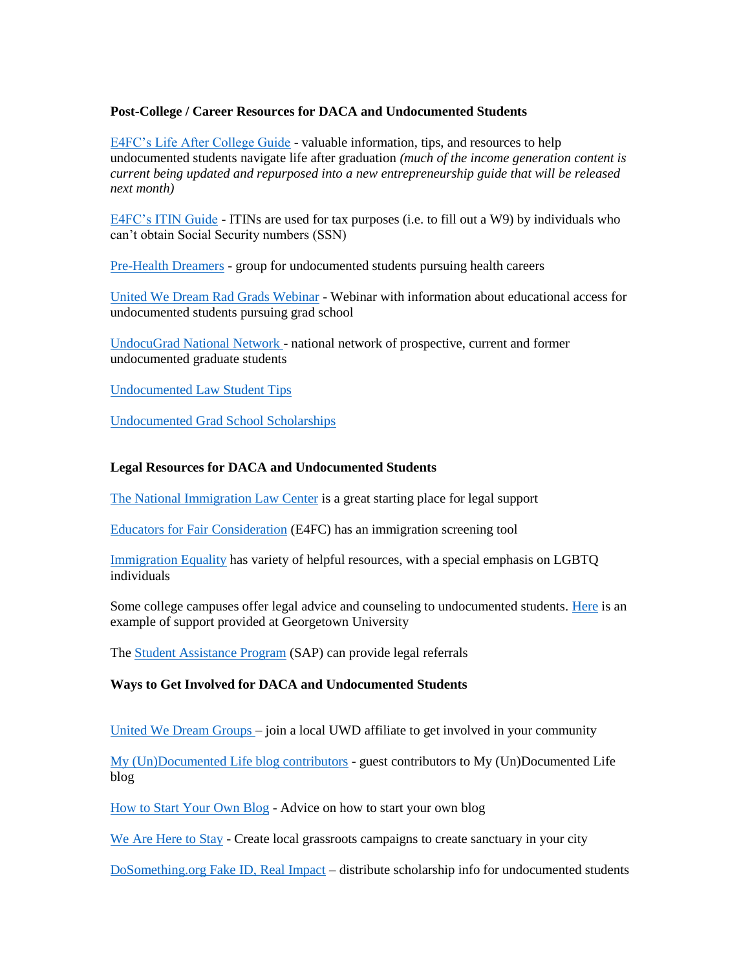#### **Post-College / Career Resources for DACA and Undocumented Students**

[E4FC's Life After College Guide](http://e4fc.org/lifeaftercollegeguide.html) - valuable information, tips, and resources to help undocumented students navigate life after graduation *(much of the income generation content is current being updated and repurposed into a new entrepreneurship guide that will be released next month)*

[E4FC's ITIN Guide](http://e4fc.org/itinguide.html) - ITINs are used for tax purposes (i.e. to fill out a W9) by individuals who can't obtain Social Security numbers (SSN)

[Pre-Health Dreamers](http://phdreamers.org/) - group for undocumented students pursuing health careers

[United We Dream Rad Grads Webinar](https://attendee.gotowebinar.com/register/1502589662458861826) - Webinar with information about educational access for undocumented students pursuing grad school

[UndocuGrad National Network](https://mydocumentedlife.org/undocugrads-national-network/) - national network of prospective, current and former undocumented graduate students

[Undocumented Law Student Tips](http://prernalal.com/2014/03/undocumented-law-student-tips-for-surviving-law-school/)

[Undocumented Grad School Scholarships](https://mydocumentedlife.org/category/grad-school-scholarships/)

#### **Legal Resources for DACA and Undocumented Students**

[The National Immigration Law Center](https://www.nilc.org/) is a great starting place for legal support

Educators [for Fair Consideration](http://www.e4fc.org/legalservices/getfreelegalhelp.html) (E4FC) has an immigration screening tool

[Immigration Equality](http://www.immigrationequality.org/get-legal-help/our-legal-resources/path-to-status-in-the-u-s/daca-deferred-action-for-childhood-arrivals/) has variety of helpful resources, with a special emphasis on LGBTQ individuals

Some college campuses offer legal advice and counseling to undocumented students. [Here](https://undocumented.georgetown.edu/legal-aid) is an example of support provided at Georgetown University

The [Student Assistance Program](http://www.mybalanceworks.com/) (SAP) can provide legal referrals

# **Ways to Get Involved for DACA and Undocumented Students**

[United We Dream Groups –](http://unitedwedream.org/groups/) join a local UWD affiliate to get involved in your community

[My \(Un\)Documented Life blog contributors](https://mydocumentedlife.org/2016/09/23/seeking-contributors/) - guest contributors to My (Un)Documented Life blog

[How to Start Your Own Blog](https://mydocumentedlife.org/2015/08/11/being-undocumented-advice-on-starting-your-own-blog-from-prerna-lal/) - Advice on how to start your own blog

[We Are Here to Stay](http://weareheretostay.org/fightback/) - Create local grassroots campaigns to create sanctuary in your city

[DoSomething.org Fake ID, Real Impact](https://www.dosomething.org/us/campaigns/fake-id-real-impact) – distribute scholarship info for undocumented students